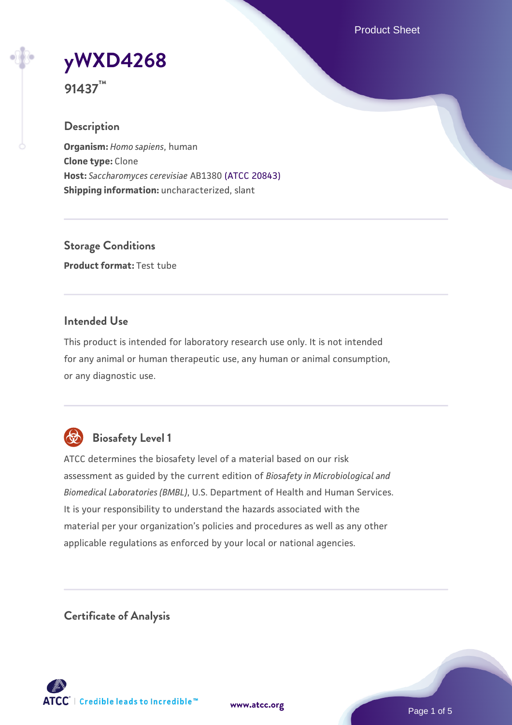Product Sheet

**[yWXD4268](https://www.atcc.org/products/91437)**

**91437™**

### **Description**

**Organism:** *Homo sapiens*, human **Clone type:** Clone **Host:** *Saccharomyces cerevisiae* AB1380 [\(ATCC 20843\)](https://www.atcc.org/products/20843) **Shipping information:** uncharacterized, slant

**Storage Conditions Product format:** Test tube

### **Intended Use**

This product is intended for laboratory research use only. It is not intended for any animal or human therapeutic use, any human or animal consumption, or any diagnostic use.



# **Biosafety Level 1**

ATCC determines the biosafety level of a material based on our risk assessment as guided by the current edition of *Biosafety in Microbiological and Biomedical Laboratories (BMBL)*, U.S. Department of Health and Human Services. It is your responsibility to understand the hazards associated with the material per your organization's policies and procedures as well as any other applicable regulations as enforced by your local or national agencies.

**Certificate of Analysis**

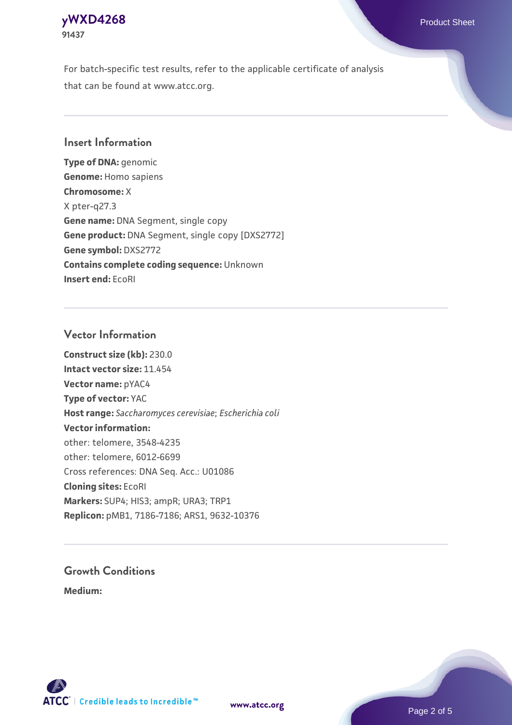### **[yWXD4268](https://www.atcc.org/products/91437)** Product Sheet **91437**

For batch-specific test results, refer to the applicable certificate of analysis that can be found at www.atcc.org.

### **Insert Information**

**Type of DNA:** genomic **Genome:** Homo sapiens **Chromosome:** X X pter-q27.3 **Gene name:** DNA Segment, single copy **Gene product:** DNA Segment, single copy [DXS2772] **Gene symbol:** DXS2772 **Contains complete coding sequence:** Unknown **Insert end:** EcoRI

#### **Vector Information**

**Construct size (kb):** 230.0 **Intact vector size:** 11.454 **Vector name:** pYAC4 **Type of vector:** YAC **Host range:** *Saccharomyces cerevisiae*; *Escherichia coli* **Vector information:** other: telomere, 3548-4235 other: telomere, 6012-6699 Cross references: DNA Seq. Acc.: U01086 **Cloning sites:** EcoRI **Markers:** SUP4; HIS3; ampR; URA3; TRP1 **Replicon:** pMB1, 7186-7186; ARS1, 9632-10376

# **Growth Conditions**

**Medium:** 



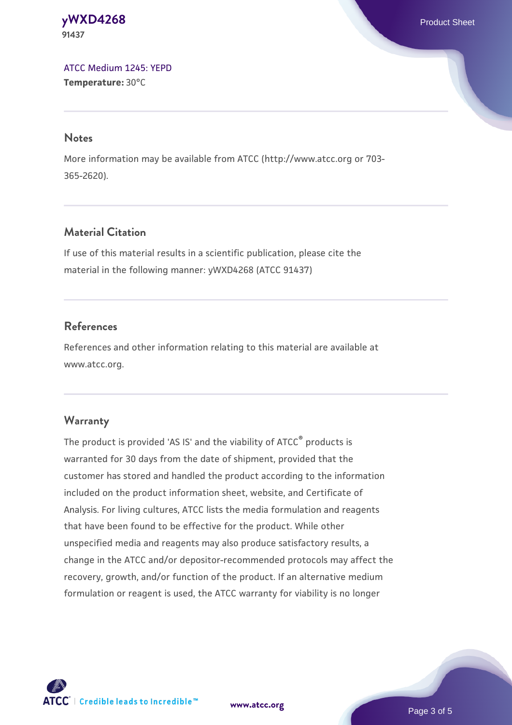#### **[yWXD4268](https://www.atcc.org/products/91437)** Product Sheet **91437**

[ATCC Medium 1245: YEPD](https://www.atcc.org/-/media/product-assets/documents/microbial-media-formulations/1/2/4/5/atcc-medium-1245.pdf?rev=705ca55d1b6f490a808a965d5c072196) **Temperature:** 30°C

#### **Notes**

More information may be available from ATCC (http://www.atcc.org or 703- 365-2620).

# **Material Citation**

If use of this material results in a scientific publication, please cite the material in the following manner: yWXD4268 (ATCC 91437)

# **References**

References and other information relating to this material are available at www.atcc.org.

# **Warranty**

The product is provided 'AS IS' and the viability of ATCC® products is warranted for 30 days from the date of shipment, provided that the customer has stored and handled the product according to the information included on the product information sheet, website, and Certificate of Analysis. For living cultures, ATCC lists the media formulation and reagents that have been found to be effective for the product. While other unspecified media and reagents may also produce satisfactory results, a change in the ATCC and/or depositor-recommended protocols may affect the recovery, growth, and/or function of the product. If an alternative medium formulation or reagent is used, the ATCC warranty for viability is no longer



**[www.atcc.org](http://www.atcc.org)**

Page 3 of 5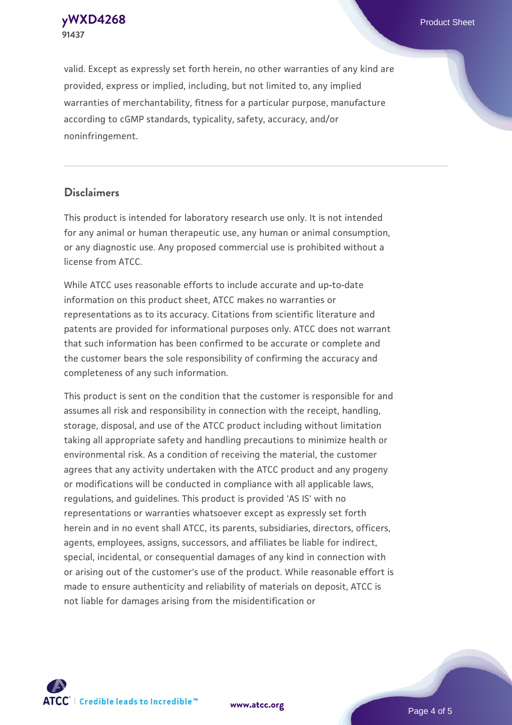**91437**

valid. Except as expressly set forth herein, no other warranties of any kind are provided, express or implied, including, but not limited to, any implied warranties of merchantability, fitness for a particular purpose, manufacture according to cGMP standards, typicality, safety, accuracy, and/or noninfringement.

#### **Disclaimers**

This product is intended for laboratory research use only. It is not intended for any animal or human therapeutic use, any human or animal consumption, or any diagnostic use. Any proposed commercial use is prohibited without a license from ATCC.

While ATCC uses reasonable efforts to include accurate and up-to-date information on this product sheet, ATCC makes no warranties or representations as to its accuracy. Citations from scientific literature and patents are provided for informational purposes only. ATCC does not warrant that such information has been confirmed to be accurate or complete and the customer bears the sole responsibility of confirming the accuracy and completeness of any such information.

This product is sent on the condition that the customer is responsible for and assumes all risk and responsibility in connection with the receipt, handling, storage, disposal, and use of the ATCC product including without limitation taking all appropriate safety and handling precautions to minimize health or environmental risk. As a condition of receiving the material, the customer agrees that any activity undertaken with the ATCC product and any progeny or modifications will be conducted in compliance with all applicable laws, regulations, and guidelines. This product is provided 'AS IS' with no representations or warranties whatsoever except as expressly set forth herein and in no event shall ATCC, its parents, subsidiaries, directors, officers, agents, employees, assigns, successors, and affiliates be liable for indirect, special, incidental, or consequential damages of any kind in connection with or arising out of the customer's use of the product. While reasonable effort is made to ensure authenticity and reliability of materials on deposit, ATCC is not liable for damages arising from the misidentification or



**[www.atcc.org](http://www.atcc.org)**

Page 4 of 5